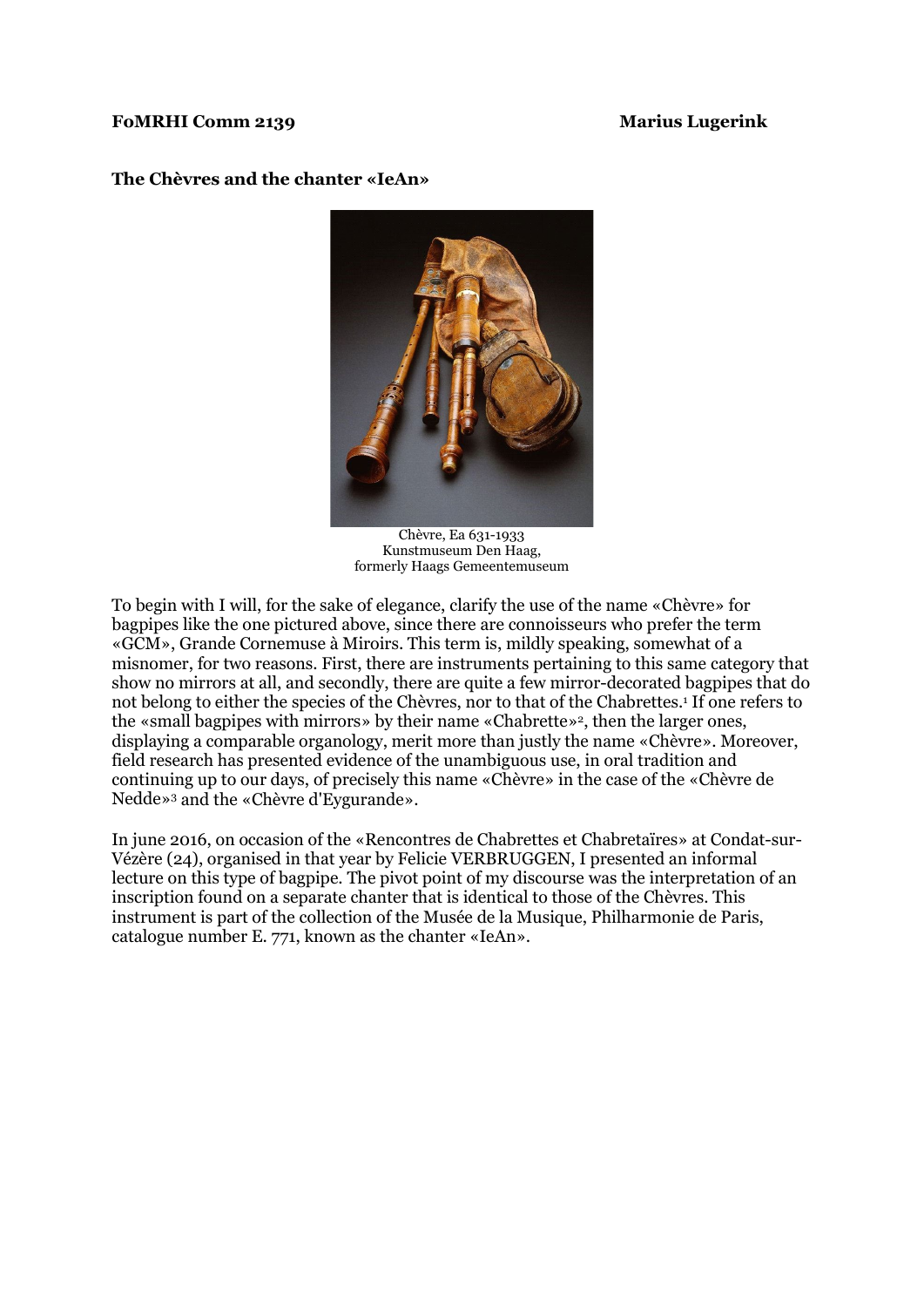## **FoMRHI Comm 2139 Marius Lugerink**

## **The Chèvres and the chanter «IeAn»**



Chèvre, Ea 631-1933 Kunstmuseum Den Haag, formerly Haags Gemeentemuseum

To begin with I will, for the sake of elegance, clarify the use of the name «Chèvre» for bagpipes like the one pictured above, since there are connoisseurs who prefer the term «GCM», Grande Cornemuse à Miroirs. This term is, mildly speaking, somewhat of a misnomer, for two reasons. First, there are instruments pertaining to this same category that show no mirrors at all, and secondly, there are quite a few mirror-decorated bagpipes that do not belong to either the species of the Chèvres, nor to that of the Chabrettes.<sup>1</sup> If one refers to the «small bagpipes with mirrors» by their name «Chabrette»2, then the larger ones, displaying a comparable organology, merit more than justly the name «Chèvre». Moreover, field research has presented evidence of the unambiguous use, in oral tradition and continuing up to our days, of precisely this name «Chèvre» in the case of the «Chèvre de Nedde»3 and the «Chèvre d'Eygurande».

In june 2016, on occasion of the «Rencontres de Chabrettes et Chabretaïres» at Condat-sur-Vézère (24), organised in that year by Felicie VERBRUGGEN, I presented an informal lecture on this type of bagpipe. The pivot point of my discourse was the interpretation of an inscription found on a separate chanter that is identical to those of the Chèvres. This instrument is part of the collection of the Musée de la Musique, Philharmonie de Paris, catalogue number E. 771, known as the chanter «IeAn».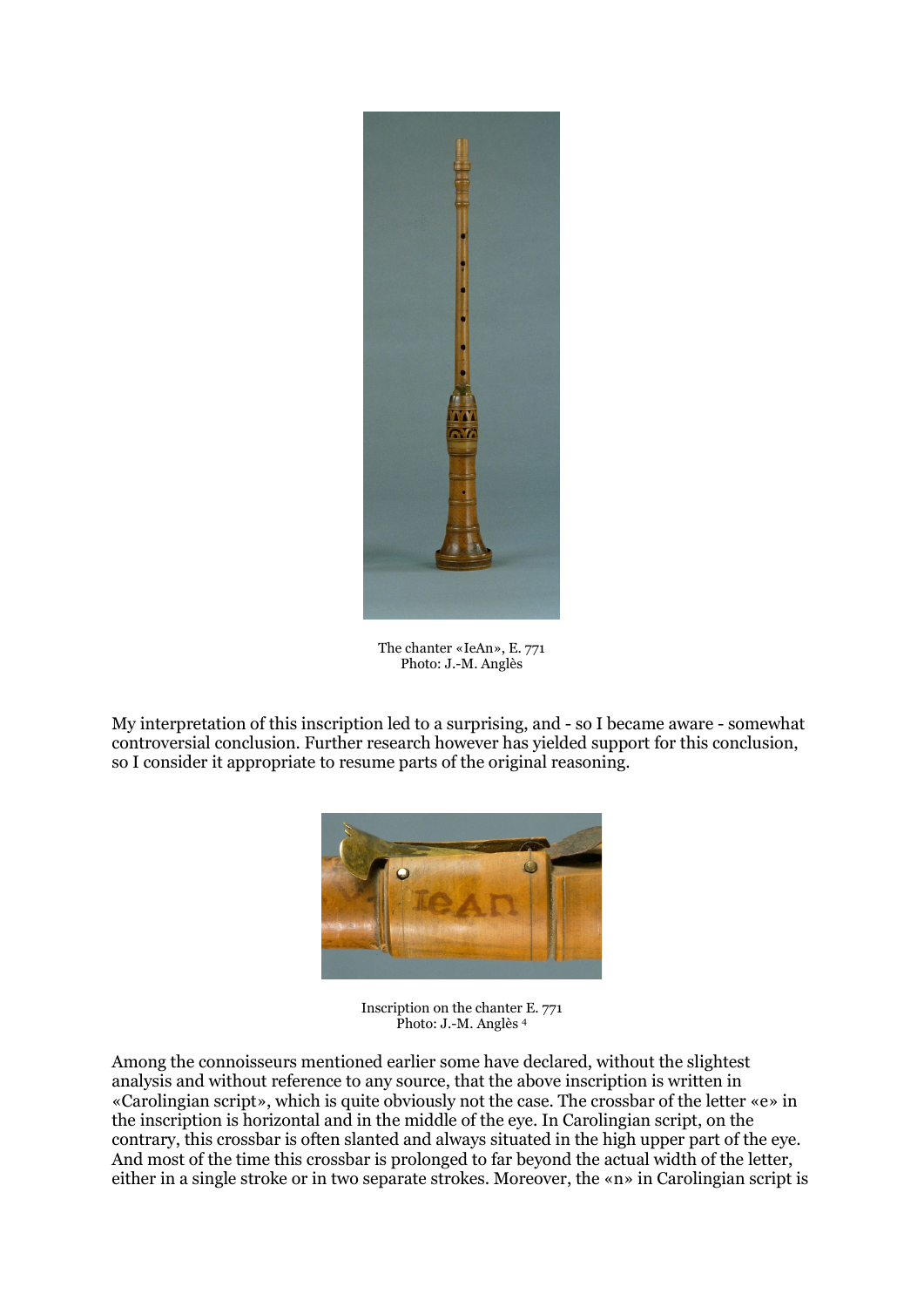

The chanter «IeAn», E. 771 Photo: J.-M. Anglès

My interpretation of this inscription led to a surprising, and - so I became aware - somewhat controversial conclusion. Further research however has yielded support for this conclusion, so I consider it appropriate to resume parts of the original reasoning.



Inscription on the chanter E. 771 Photo: J.-M. Anglès <sup>4</sup>

Among the connoisseurs mentioned earlier some have declared, without the slightest analysis and without reference to any source, that the above inscription is written in «Carolingian script», which is quite obviously not the case. The crossbar of the letter «e» in the inscription is horizontal and in the middle of the eye. In Carolingian script, on the contrary, this crossbar is often slanted and always situated in the high upper part of the eye. And most of the time this crossbar is prolonged to far beyond the actual width of the letter, either in a single stroke or in two separate strokes. Moreover, the «n» in Carolingian script is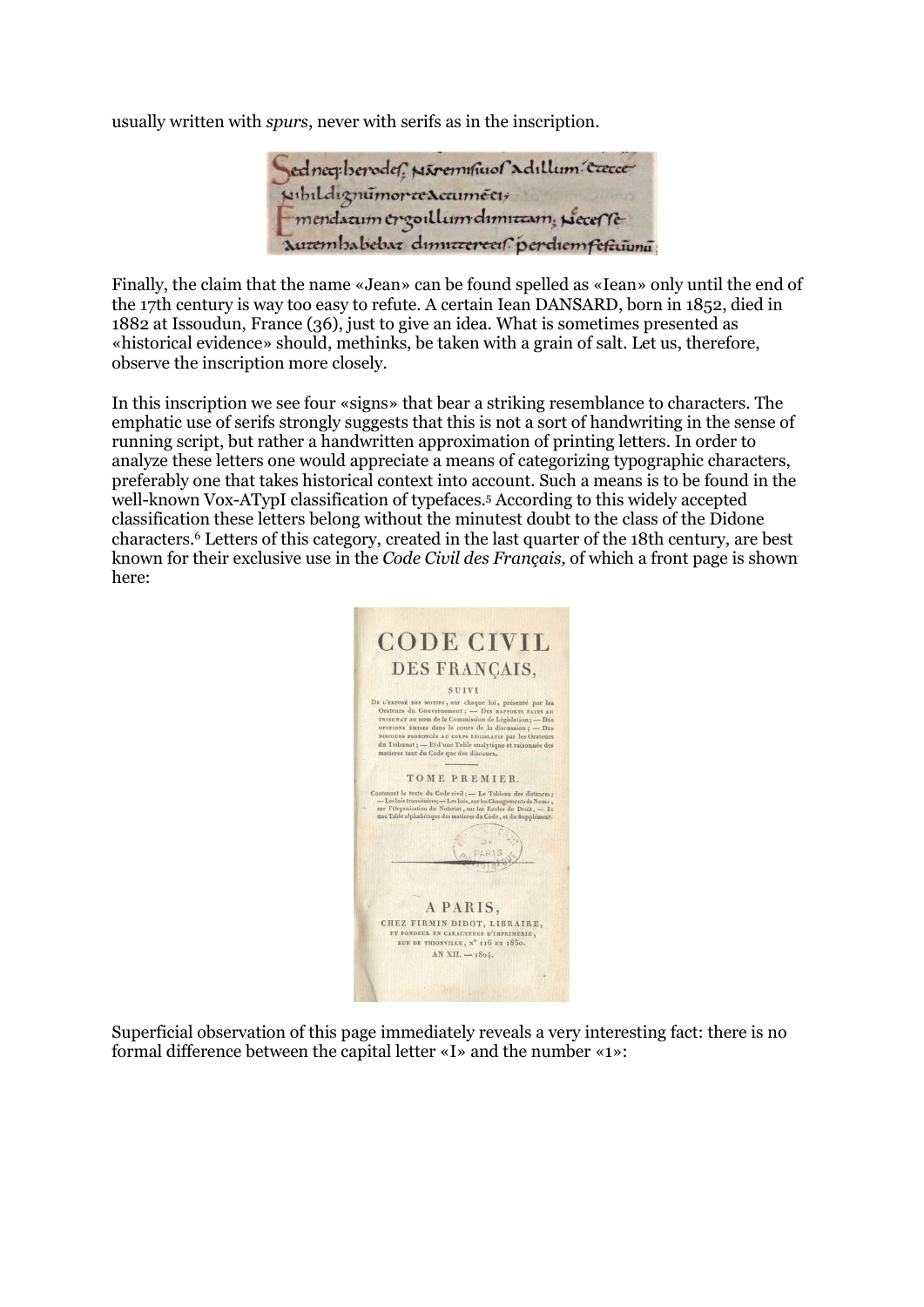usually written with *spurs*, never with serifs as in the inscription.

Sedneg:berodef; Nivemmus adullum caece

Finally, the claim that the name «Jean» can be found spelled as «Iean» only until the end of the 17th century is way too easy to refute. A certain Iean DANSARD, born in 1852, died in 1882 at Issoudun, France (36), just to give an idea. What is sometimes presented as «historical evidence» should, methinks, be taken with a grain of salt. Let us, therefore, observe the inscription more closely.

In this inscription we see four «signs» that bear a striking resemblance to characters. The emphatic use of serifs strongly suggests that this is not a sort of handwriting in the sense of running script, but rather a handwritten approximation of printing letters. In order to analyze these letters one would appreciate a means of categorizing typographic characters, preferably one that takes historical context into account. Such a means is to be found in the well-known Vox-ATypI classification of typefaces.5 According to this widely accepted classification these letters belong without the minutest doubt to the class of the Didone characters.6 Letters of this category, created in the last quarter of the 18th century, are best known for their exclusive use in the *Code Civil des Français,* of which a front page is shown here:



Superficial observation of this page immediately reveals a very interesting fact: there is no formal difference between the capital letter «I» and the number «1»: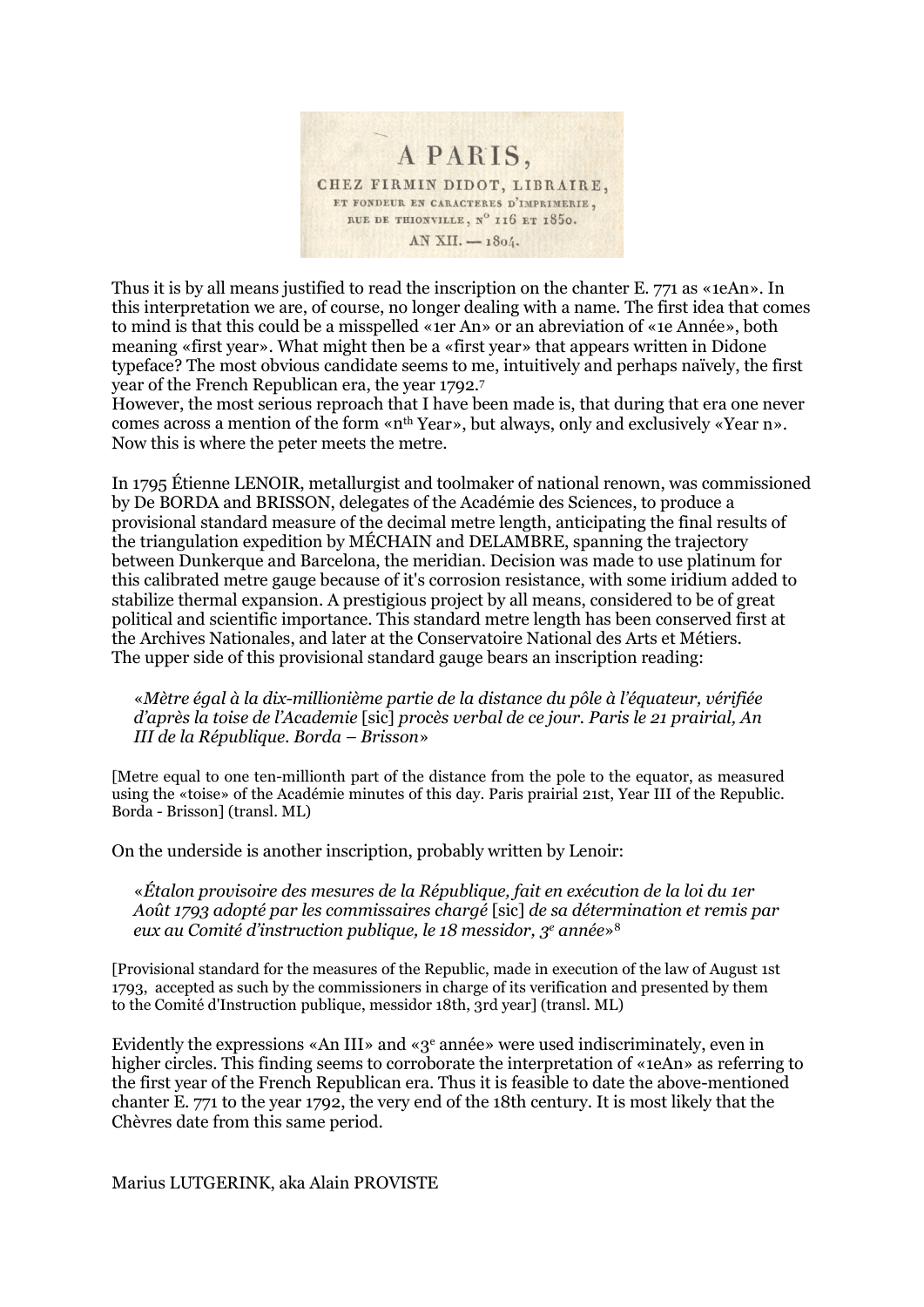

Thus it is by all means justified to read the inscription on the chanter E. 771 as «1eAn». In this interpretation we are, of course, no longer dealing with a name. The first idea that comes to mind is that this could be a misspelled «1er An» or an abreviation of «1e Année», both meaning «first year». What might then be a «first year» that appears written in Didone typeface? The most obvious candidate seems to me, intuitively and perhaps naïvely, the first year of the French Republican era, the year 1792.7

However, the most serious reproach that I have been made is, that during that era one never comes across a mention of the form «n<sup>th</sup> Year», but always, only and exclusively «Year n». Now this is where the peter meets the metre.

In 1795 Étienne LENOIR, metallurgist and toolmaker of national renown, was commissioned by De BORDA and BRISSON, delegates of the Académie des Sciences, to produce a provisional standard measure of the decimal metre length, anticipating the final results of the triangulation expedition by MÉCHAIN and DELAMBRE, spanning the trajectory between Dunkerque and Barcelona, the meridian. Decision was made to use platinum for this calibrated metre gauge because of it's corrosion resistance, with some iridium added to stabilize thermal expansion. A prestigious project by all means, considered to be of great political and scientific importance. This standard metre length has been conserved first at the Archives Nationales, and later at the Conservatoire National des Arts et Métiers. The upper side of this provisional standard gauge bears an inscription reading:

«*Mètre égal à la dix-millionième partie de la distance du pôle à l'équateur, vérifiée d'après la toise de l'Academie* [sic] *procès verbal de ce jour. Paris le 21 prairial, An III de la République. Borda – Brisson*»

[Metre equal to one ten-millionth part of the distance from the pole to the equator, as measured using the «toise» of the Académie minutes of this day. Paris prairial 21st, Year III of the Republic. Borda - Brisson] (transl. ML)

On the underside is another inscription, probably written by Lenoir:

«*Étalon provisoire des mesures de la République, fait en exécution de la loi du 1er Août 1793 adopté par les commissaires chargé* [sic] *de sa détermination et remis par eux au Comité d'instruction publique, le 18 messidor, 3e année*»8

[Provisional standard for the measures of the Republic, made in execution of the law of August 1st 1793, accepted as such by the commissioners in charge of its verification and presented by them to the Comité d'Instruction publique, messidor 18th, 3rd year] (transl. ML)

Evidently the expressions «An III» and «3e année» were used indiscriminately, even in higher circles. This finding seems to corroborate the interpretation of «1eAn» as referring to the first year of the French Republican era. Thus it is feasible to date the above-mentioned chanter E. 771 to the year 1792, the very end of the 18th century. It is most likely that the Chèvres date from this same period.

Marius LUTGERINK, aka Alain PROVISTE